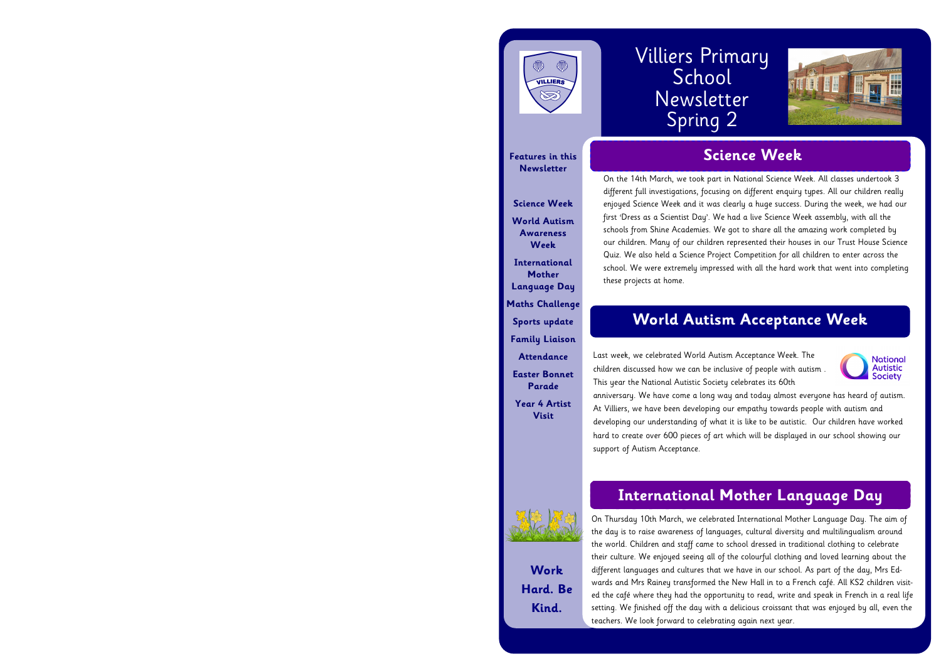# VILLIERS  $\bigotimes$

**Features in this Newsletter**

**Science Week World Autism Awareness Week International Mother Language Day Maths Challenge Sports update Family Liaison Attendance Easter Bonnet Parade Year 4 Artist Visit**



**Work Hard. Be Kind.**

# Villiers Primary School Newsletter Spring 2

# **Science Week**



# **International Mother Language Day**

# **World Autism Acceptance Week**

On Thursday 10th March, we celebrated International Mother Language Day. The aim of the day is to raise awareness of languages, cultural diversity and multilingualism around the world. Children and staff came to school dressed in traditional clothing to celebrate their culture. We enjoyed seeing all of the colourful clothing and loved learning about the different languages and cultures that we have in our school. As part of the day, Mrs Edwards and Mrs Rainey transformed the New Hall in to a French café. All KS2 children visited the café where they had the opportunity to read, write and speak in French in a real life setting. We finished off the day with a delicious croissant that was enjoyed by all, even the teachers. We look forward to celebrating again next year.



On the 14th March, we took part in National Science Week. All classes undertook 3 different full investigations, focusing on different enquiry types. All our children really enjoyed Science Week and it was clearly a huge success. During the week, we had our first 'Dress as a Scientist Day'. We had a live Science Week assembly, with all the schools from Shine Academies. We got to share all the amazing work completed by our children. Many of our children represented their houses in our Trust House Science Quiz. We also held a Science Project Competition for all children to enter across the school. We were extremely impressed with all the hard work that went into completing these projects at home.

Last week, we celebrated World Autism Acceptance Week. The **National** Autistic children discussed how we can be inclusive of people with autism . **Society** This year the National Autistic Society celebrates its 60th anniversary. We have come a long way and today almost everyone has heard of autism. At Villiers, we have been developing our empathy towards people with autism and developing our understanding of what it is like to be autistic. Our children have worked hard to create over 600 pieces of art which will be displayed in our school showing our support of Autism Acceptance.